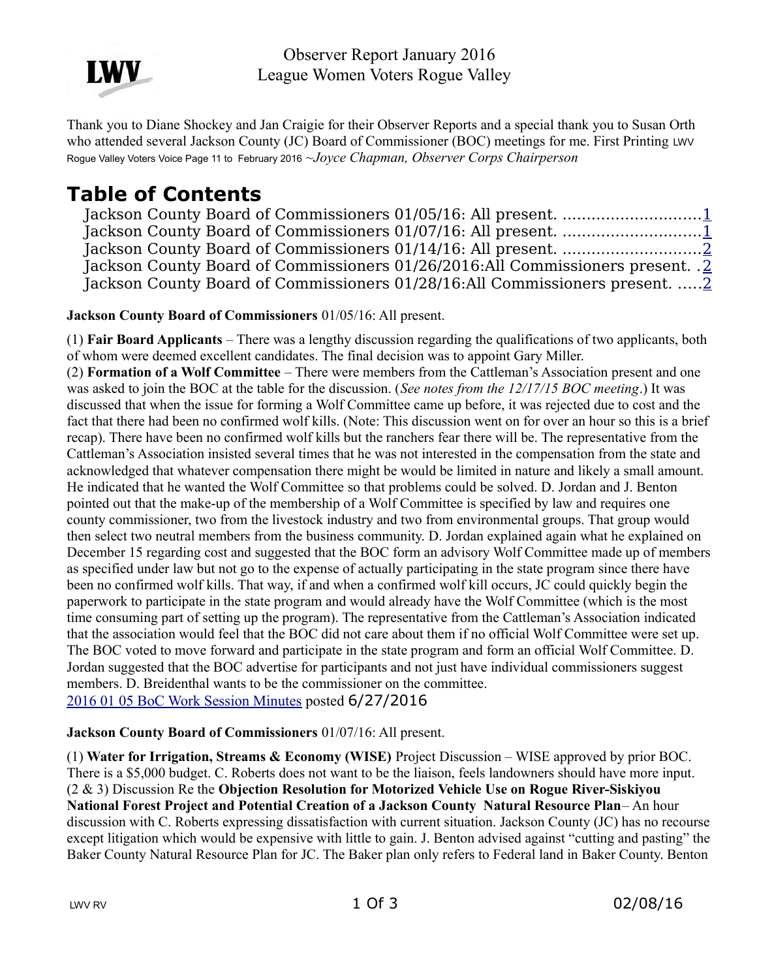

Observer Report January 2016 League Women Voters Rogue Valley

Thank you to Diane Shockey and Jan Craigie for their Observer Reports and a special thank you to Susan Orth who attended several Jackson County (JC) Board of Commissioner (BOC) meetings for me. First Printing LWV Rogue Valley Voters Voice Page 11 to February 2016 ~*Joyce Chapman, Observer Corps Chairperson* 

# **Table of Contents**

|  |  | Jackson County Board of Commissioners 01/26/2016:All Commissioners present. .2 |  |
|--|--|--------------------------------------------------------------------------------|--|
|  |  | Jackson County Board of Commissioners 01/28/16:All Commissioners present.  2   |  |

<span id="page-0-1"></span>**Jackson County Board of Commissioners** 01/05/16: All present.

(1) **Fair Board Applicants** – There was a lengthy discussion regarding the qualifications of two applicants, both of whom were deemed excellent candidates. The final decision was to appoint Gary Miller.

(2) **Formation of a Wolf Committee** – There were members from the Cattleman's Association present and one was asked to join the BOC at the table for the discussion. (*See notes from the 12/17/15 BOC meeting*.) It was discussed that when the issue for forming a Wolf Committee came up before, it was rejected due to cost and the fact that there had been no confirmed wolf kills. (Note: This discussion went on for over an hour so this is a brief recap). There have been no confirmed wolf kills but the ranchers fear there will be. The representative from the Cattleman's Association insisted several times that he was not interested in the compensation from the state and acknowledged that whatever compensation there might be would be limited in nature and likely a small amount. He indicated that he wanted the Wolf Committee so that problems could be solved. D. Jordan and J. Benton pointed out that the make-up of the membership of a Wolf Committee is specified by law and requires one county commissioner, two from the livestock industry and two from environmental groups. That group would then select two neutral members from the business community. D. Jordan explained again what he explained on December 15 regarding cost and suggested that the BOC form an advisory Wolf Committee made up of members as specified under law but not go to the expense of actually participating in the state program since there have been no confirmed wolf kills. That way, if and when a confirmed wolf kill occurs, JC could quickly begin the paperwork to participate in the state program and would already have the Wolf Committee (which is the most time consuming part of setting up the program). The representative from the Cattleman's Association indicated that the association would feel that the BOC did not care about them if no official Wolf Committee were set up. The BOC voted to move forward and participate in the state program and form an official Wolf Committee. D. Jordan suggested that the BOC advertise for participants and not just have individual commissioners suggest members. D. Breidenthal wants to be the commissioner on the committee. [2016 01 05 BoC Work Session Minutes](http://jacksoncountyor.org/Board-of-Commissioners/Meeting-Archive?EntryId=40977&Command=Core_Download) posted 6/27/2016

### <span id="page-0-0"></span>**Jackson County Board of Commissioners** 01/07/16: All present.

(1) **Water for Irrigation, Streams & Economy (WISE)** Project Discussion – WISE approved by prior BOC. There is a \$5,000 budget. C. Roberts does not want to be the liaison, feels landowners should have more input. (2 & 3) Discussion Re the **Objection Resolution for Motorized Vehicle Use on Rogue River-Siskiyou National Forest Project and Potential Creation of a Jackson County Natural Resource Plan**– An hour discussion with C. Roberts expressing dissatisfaction with current situation. Jackson County (JC) has no recourse except litigation which would be expensive with little to gain. J. Benton advised against "cutting and pasting" the Baker County Natural Resource Plan for JC. The Baker plan only refers to Federal land in Baker County. Benton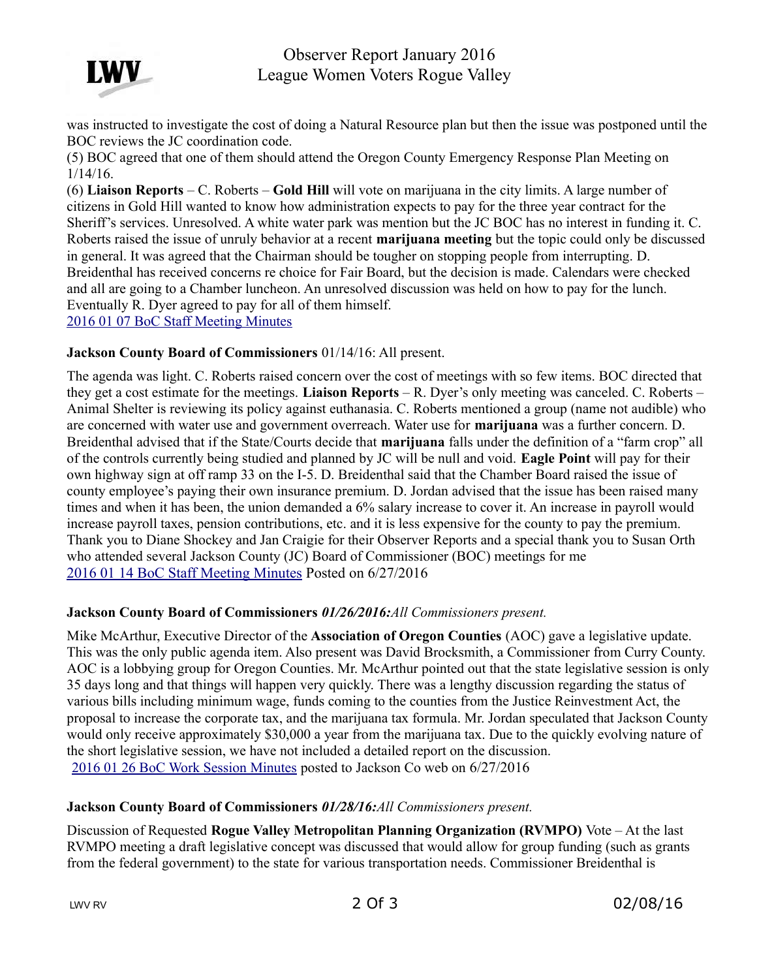

## Observer Report January 2016 League Women Voters Rogue Valley

was instructed to investigate the cost of doing a Natural Resource plan but then the issue was postponed until the BOC reviews the JC coordination code.

(5) BOC agreed that one of them should attend the Oregon County Emergency Response Plan Meeting on 1/14/16.

(6) **Liaison Reports** – C. Roberts – **Gold Hill** will vote on marijuana in the city limits. A large number of citizens in Gold Hill wanted to know how administration expects to pay for the three year contract for the Sheriff's services. Unresolved. A white water park was mention but the JC BOC has no interest in funding it. C. Roberts raised the issue of unruly behavior at a recent **marijuana meeting** but the topic could only be discussed in general. It was agreed that the Chairman should be tougher on stopping people from interrupting. D. Breidenthal has received concerns re choice for Fair Board, but the decision is made. Calendars were checked and all are going to a Chamber luncheon. An unresolved discussion was held on how to pay for the lunch. Eventually R. Dyer agreed to pay for all of them himself.

[2016 01 07 BoC Staff Meeting Minutes](http://jacksoncountyor.org/Board-of-Commissioners/Meeting-Archive?EntryId=40981&Command=Core_Download)

#### <span id="page-1-2"></span>**Jackson County Board of Commissioners** 01/14/16: All present.

The agenda was light. C. Roberts raised concern over the cost of meetings with so few items. BOC directed that they get a cost estimate for the meetings. **Liaison Reports** – R. Dyer's only meeting was canceled. C. Roberts – Animal Shelter is reviewing its policy against euthanasia. C. Roberts mentioned a group (name not audible) who are concerned with water use and government overreach. Water use for **marijuana** was a further concern. D. Breidenthal advised that if the State/Courts decide that **marijuana** falls under the definition of a "farm crop" all of the controls currently being studied and planned by JC will be null and void. **Eagle Point** will pay for their own highway sign at off ramp 33 on the I-5. D. Breidenthal said that the Chamber Board raised the issue of county employee's paying their own insurance premium. D. Jordan advised that the issue has been raised many times and when it has been, the union demanded a 6% salary increase to cover it. An increase in payroll would increase payroll taxes, pension contributions, etc. and it is less expensive for the county to pay the premium. Thank you to Diane Shockey and Jan Craigie for their Observer Reports and a special thank you to Susan Orth who attended several Jackson County (JC) Board of Commissioner (BOC) meetings for me [2016 01 14 BoC Staff Meeting Minutes](http://jacksoncountyor.org/Board-of-Commissioners/Meeting-Archive?EntryId=41003&Command=Core_Download) Posted on 6/27/2016

#### <span id="page-1-1"></span>**Jackson County Board of Commissioners** *01/26/2016:All Commissioners present.*

Mike McArthur, Executive Director of the **Association of Oregon Counties** (AOC) gave a legislative update. This was the only public agenda item. Also present was David Brocksmith, a Commissioner from Curry County. AOC is a lobbying group for Oregon Counties. Mr. McArthur pointed out that the state legislative session is only 35 days long and that things will happen very quickly. There was a lengthy discussion regarding the status of various bills including minimum wage, funds coming to the counties from the Justice Reinvestment Act, the proposal to increase the corporate tax, and the marijuana tax formula. Mr. Jordan speculated that Jackson County would only receive approximately \$30,000 a year from the marijuana tax. Due to the quickly evolving nature of the short legislative session, we have not included a detailed report on the discussion. [2016 01 26 BoC Work Session Minutes](http://jacksoncountyor.org/Board-of-Commissioners/Meeting-Archive?EntryId=41218&Command=Core_Download) posted to Jackson Co web on 6/27/2016

#### <span id="page-1-0"></span>**Jackson County Board of Commissioners** *01/28/16:All Commissioners present.*

Discussion of Requested **Rogue Valley Metropolitan Planning Organization (RVMPO)** Vote – At the last RVMPO meeting a draft legislative concept was discussed that would allow for group funding (such as grants from the federal government) to the state for various transportation needs. Commissioner Breidenthal is